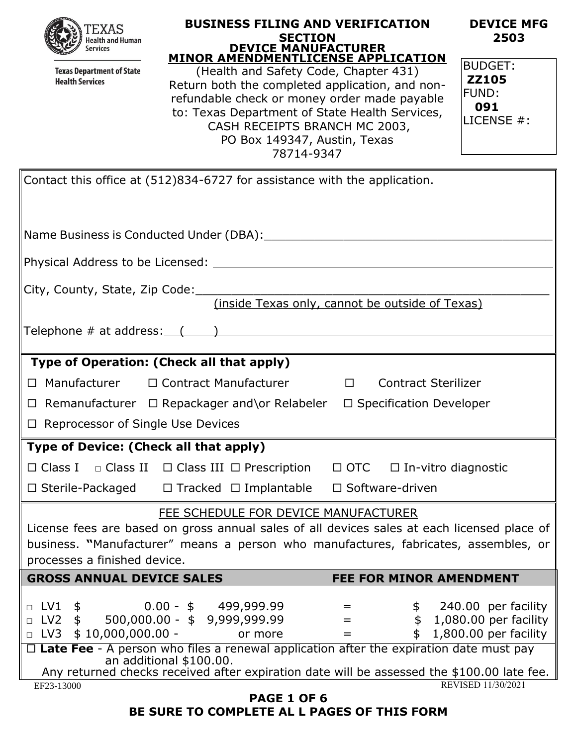

**Texas Department of State Health Services** 

#### **BUSINESS FILING AND VERIFICATION SECTION DEVICE MANUFACTURER MINOR AMENDMENTLICENSE APPLICATION**

(Health and Safety Code, Chapter 431) Return both the completed application, and nonrefundable check or money order made payable to: Texas Department of State Health Services, CASH RECEIPTS BRANCH MC 2003, PO Box 149347, Austin, Texas 78714-9347

| 2503         |  |
|--------------|--|
| BUDGET:      |  |
| <b>ZZ105</b> |  |
| FUND:        |  |
| 091          |  |

**DEVICE MFG** 

LICENSE #:

| Contact this office at (512)834-6727 for assistance with the application.                                                                                                                                                                                  |  |  |
|------------------------------------------------------------------------------------------------------------------------------------------------------------------------------------------------------------------------------------------------------------|--|--|
|                                                                                                                                                                                                                                                            |  |  |
| Physical Address to be Licensed: National Address to be Licensed: National Address of Address 1999 and 2009 and 2009                                                                                                                                       |  |  |
| (inside Texas only, cannot be outside of Texas)                                                                                                                                                                                                            |  |  |
|                                                                                                                                                                                                                                                            |  |  |
| Type of Operation: (Check all that apply)                                                                                                                                                                                                                  |  |  |
| □ Manufacturer □ Contract Manufacturer □ Contract Sterilizer                                                                                                                                                                                               |  |  |
| $\Box$ Remanufacturer $\Box$ Repackager and\or Relabeler $\Box$ Specification Developer                                                                                                                                                                    |  |  |
| $\Box$ Reprocessor of Single Use Devices                                                                                                                                                                                                                   |  |  |
| Type of Device: (Check all that apply)                                                                                                                                                                                                                     |  |  |
| $\Box$ Class I $\Box$ Class II $\Box$ Class III $\Box$ Prescription $\Box$ OTC $\Box$ In-vitro diagnostic                                                                                                                                                  |  |  |
| $\Box$ Sterile-Packaged $\Box$ Tracked $\Box$ Implantable $\Box$ Software-driven                                                                                                                                                                           |  |  |
| FEE SCHEDULE FOR DEVICE MANUFACTURER<br>License fees are based on gross annual sales of all devices sales at each licensed place of<br>business. "Manufacturer" means a person who manufactures, fabricates, assembles, or<br>processes a finished device. |  |  |
| <b>GROSS ANNUAL DEVICE SALES</b><br><b>FEE FOR MINOR AMENDMENT</b>                                                                                                                                                                                         |  |  |
| $0.00 - $ 499,999.99$<br>240.00 per facility<br>$\Box$ LV1<br>\$<br>500,000.00 - \$ 9,999,999.99<br>\$ 1,080.00 per facility<br>$LV2$ \$<br>$\Box$<br>=<br>$$10,000,000.00 -$<br>1,800.00 per facility<br>$\Box$ LV3<br>or more<br>=                       |  |  |
| $\Box$ Late Fee - A person who files a renewal application after the expiration date must pay<br>an additional \$100.00.                                                                                                                                   |  |  |
| Any returned checks received after expiration date will be assessed the \$100.00 late fee.  <br>REVISED 11/30/2021                                                                                                                                         |  |  |
| EF23-13000<br><b>PAGE 1 OF 6</b>                                                                                                                                                                                                                           |  |  |
| BE SURE TO COMPLETE AL L PAGES OF THIS FORM                                                                                                                                                                                                                |  |  |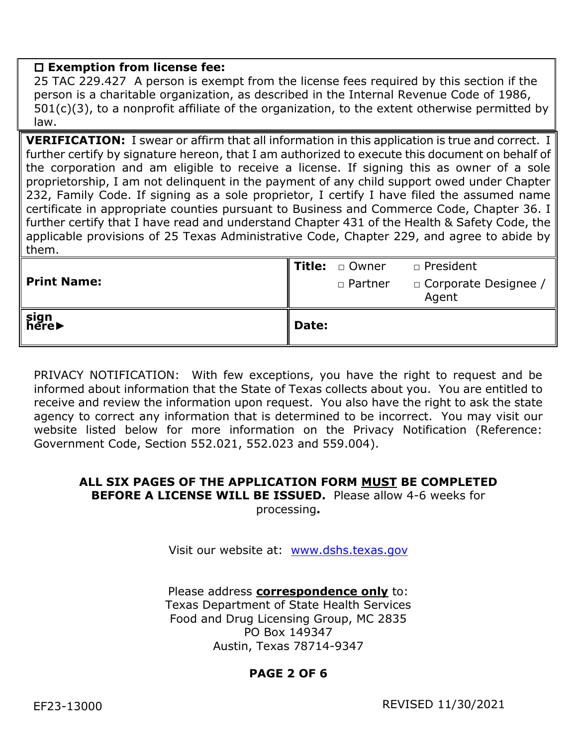#### **Exemption from license fee:**

25 TAC 229.427 A person is exempt from the license fees required by this section if the person is a charitable organization, as described in the Internal Revenue Code of 1986, 501(c)(3), to a nonprofit affiliate of the organization, to the extent otherwise permitted by law.

**VERIFICATION:** I swear or affirm that all information in this application is true and correct. I further certify by signature hereon, that I am authorized to execute this document on behalf of the corporation and am eligible to receive a license. If signing this as owner of a sole proprietorship, I am not delinquent in the payment of any child support owed under Chapter 232, Family Code. If signing as a sole proprietor, I certify I have filed the assumed name certificate in appropriate counties pursuant to Business and Commerce Code, Chapter 36. I further certify that I have read and understand Chapter 431 of the Health & Safety Code, the applicable provisions of 25 Texas Administrative Code, Chapter 229, and agree to abide by them.

| ∫sign<br>here▶     | Date: |                       |                                 |
|--------------------|-------|-----------------------|---------------------------------|
| <b>Print Name:</b> |       | □ Partner             | □ Corporate Designee /<br>Agent |
|                    |       | <b>Title:</b> □ Owner | □ President                     |

PRIVACY NOTIFICATION: With few exceptions, you have the right to request and be informed about information that the State of Texas collects about you. You are entitled to receive and review the information upon request. You also have the right to ask the state agency to correct any information that is determined to be incorrect. You may visit our website listed below for more information on the Privacy Notification (Reference: Government Code, Section 552.021, 552.023 and 559.004).

# **ALL SIX PAGES OF THE APPLICATION FORM MUST BE COMPLETED BEFORE A LICENSE WILL BE ISSUED.** Please allow 4-6 weeks for

processing**.** 

Visit our website at: [www.dshs.texas.gov](http://www.dshs.texas.gov/)

Please address **correspondence only** to: Texas Department of State Health Services Food and Drug Licensing Group, MC 2835 PO Box 149347 Austin, Texas 78714-9347

# **PAGE 2 OF 6**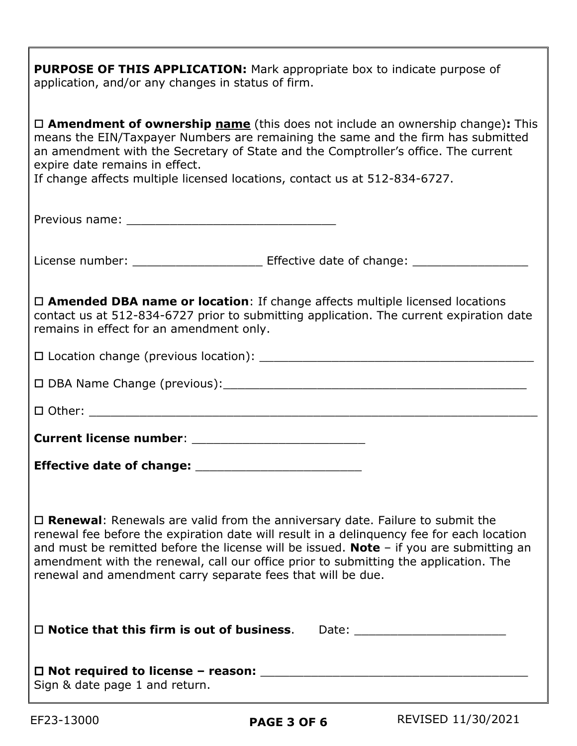**PURPOSE OF THIS APPLICATION:** Mark appropriate box to indicate purpose of application, and/or any changes in status of firm.

 **Amendment of ownership name** (this does not include an ownership change)**:** This means the EIN/Taxpayer Numbers are remaining the same and the firm has submitted an amendment with the Secretary of State and the Comptroller's office. The current expire date remains in effect.

If change affects multiple licensed locations, contact us at 512-834-6727.

License number: \_\_\_\_\_\_\_\_\_\_\_\_\_\_\_\_\_\_\_\_\_\_\_\_\_ Effective date of change: \_\_\_\_\_\_\_\_\_\_\_\_

 **Amended DBA name or location**: If change affects multiple licensed locations contact us at 512-834-6727 prior to submitting application. The current expiration date remains in effect for an amendment only.

| $\square$ Location change (previous location): |  |
|------------------------------------------------|--|
|                                                |  |

 $\Box$  DBA Name Change (previous):

 $\square$  Other:

**Current license number:**  $\blacksquare$ 

**Effective date of change:** \_\_\_\_\_\_\_\_\_\_\_\_\_\_\_\_\_\_\_\_\_\_\_

 **Renewal**: Renewals are valid from the anniversary date. Failure to submit the renewal fee before the expiration date will result in a delinquency fee for each location and must be remitted before the license will be issued. **Note** – if you are submitting an amendment with the renewal, call our office prior to submitting the application. The renewal and amendment carry separate fees that will be due.

| $\Box$ Notice that this firm is out of business.                                | Date: |
|---------------------------------------------------------------------------------|-------|
| $\Box$ Not required to license – reason:<br>$Cian \theta$ data wage 1 and ustum |       |

Sign & date page 1 and return.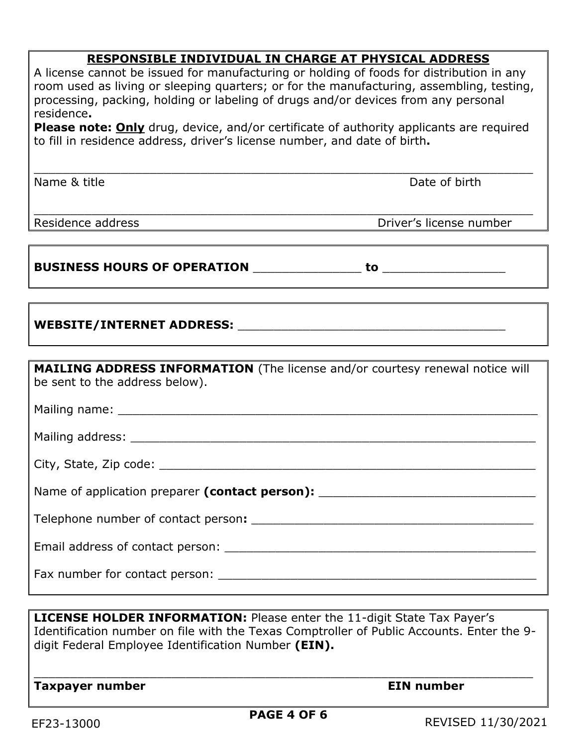# **RESPONSIBLE INDIVIDUAL IN CHARGE AT PHYSICAL ADDRESS**

A license cannot be issued for manufacturing or holding of foods for distribution in any room used as living or sleeping quarters; or for the manufacturing, assembling, testing, processing, packing, holding or labeling of drugs and/or devices from any personal residence**.**

**Please note: Only** drug, device, and/or certificate of authority applicants are required to fill in residence address, driver's license number, and date of birth**.**

\_\_\_\_\_\_\_\_\_\_\_\_\_\_\_\_\_\_\_\_\_\_\_\_\_\_\_\_\_\_\_\_\_\_\_\_\_\_\_\_\_\_\_\_\_\_\_\_\_\_\_\_\_\_\_\_\_\_\_\_\_\_\_\_\_\_\_\_\_

\_\_\_\_\_\_\_\_\_\_\_\_\_\_\_\_\_\_\_\_\_\_\_\_\_\_\_\_\_\_\_\_\_\_\_\_\_\_\_\_\_\_\_\_\_\_\_\_\_\_\_\_\_\_\_\_\_\_\_\_\_\_\_\_\_\_\_\_\_

Name & title **Date of birth** 

Residence address *Driver's* license number

### **BUSINESS HOURS OF OPERATION** \_\_\_\_\_\_\_\_\_\_\_\_\_\_\_ **to** \_\_\_\_\_\_\_\_\_\_\_\_\_\_\_\_\_

# **WEBSITE/INTERNET ADDRESS:** \_\_\_\_\_\_\_\_\_\_\_\_\_\_\_\_\_\_\_\_\_\_\_\_\_\_\_\_\_\_\_\_\_\_\_\_\_

| MAILING ADDRESS INFORMATION (The license and/or courtesy renewal notice will<br>be sent to the address below).                                                                                                                |
|-------------------------------------------------------------------------------------------------------------------------------------------------------------------------------------------------------------------------------|
|                                                                                                                                                                                                                               |
|                                                                                                                                                                                                                               |
|                                                                                                                                                                                                                               |
| Name of application preparer (contact person): _________________________________                                                                                                                                              |
|                                                                                                                                                                                                                               |
|                                                                                                                                                                                                                               |
| Fax number for contact person: The same state of the state of the state of the state of the state of the state of the state of the state of the state of the state of the state of the state of the state of the state of the |

**LICENSE HOLDER INFORMATION:** Please enter the 11-digit State Tax Payer's Identification number on file with the Texas Comptroller of Public Accounts. Enter the 9 digit Federal Employee Identification Number **(EIN).**

\_\_\_\_\_\_\_\_\_\_\_\_\_\_\_\_\_\_\_\_\_\_\_\_\_\_\_\_\_\_\_\_\_\_\_\_\_\_\_\_\_\_\_\_\_\_\_\_\_\_\_\_\_\_\_\_\_\_\_\_\_\_\_\_\_\_\_\_\_

**Taxpayer number and a set of the EIN number**  $\blacksquare$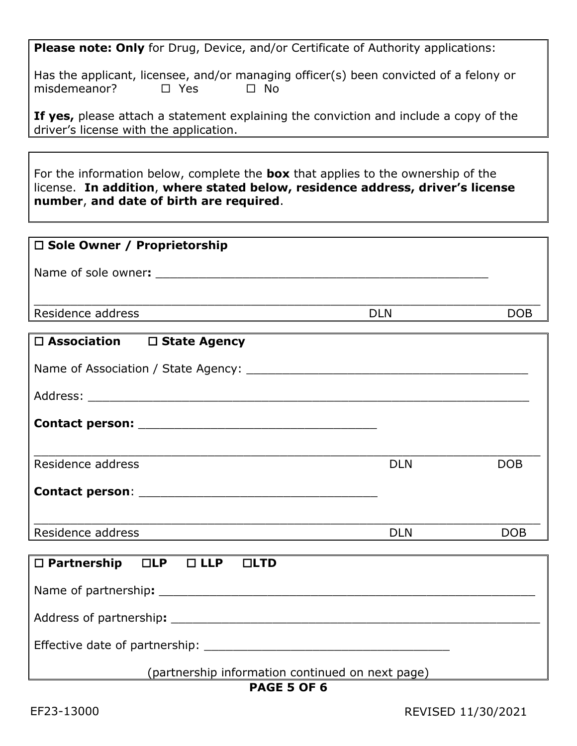**Please note: Only** for Drug, Device, and/or Certificate of Authority applications:

Has the applicant, licensee, and/or managing officer(s) been convicted of a felony or misdemeanor?  $\Box$  Yes  $\Box$  No

**If yes,** please attach a statement explaining the conviction and include a copy of the driver's license with the application.

For the information below, complete the **box** that applies to the ownership of the license. **In addition**, **where stated below, residence address, driver's license number**, **and date of birth are required**.

| □ Sole Owner / Proprietorship                           |            |            |
|---------------------------------------------------------|------------|------------|
|                                                         |            |            |
|                                                         |            |            |
| Residence address                                       | <b>DLN</b> | <b>DOB</b> |
| □ Association □ State Agency                            |            |            |
|                                                         |            |            |
|                                                         |            |            |
|                                                         |            |            |
|                                                         |            |            |
|                                                         |            |            |
| Residence address                                       | <b>DLN</b> | <b>DOB</b> |
|                                                         |            |            |
| Residence address                                       | <b>DLN</b> | <b>DOB</b> |
|                                                         |            |            |
| $\square$ Partnership $\square$ LP $\square$ LLP<br>LID |            |            |
|                                                         |            |            |
|                                                         |            |            |
|                                                         |            |            |

(partnership information continued on next page)

#### **PAGE 5 OF 6**